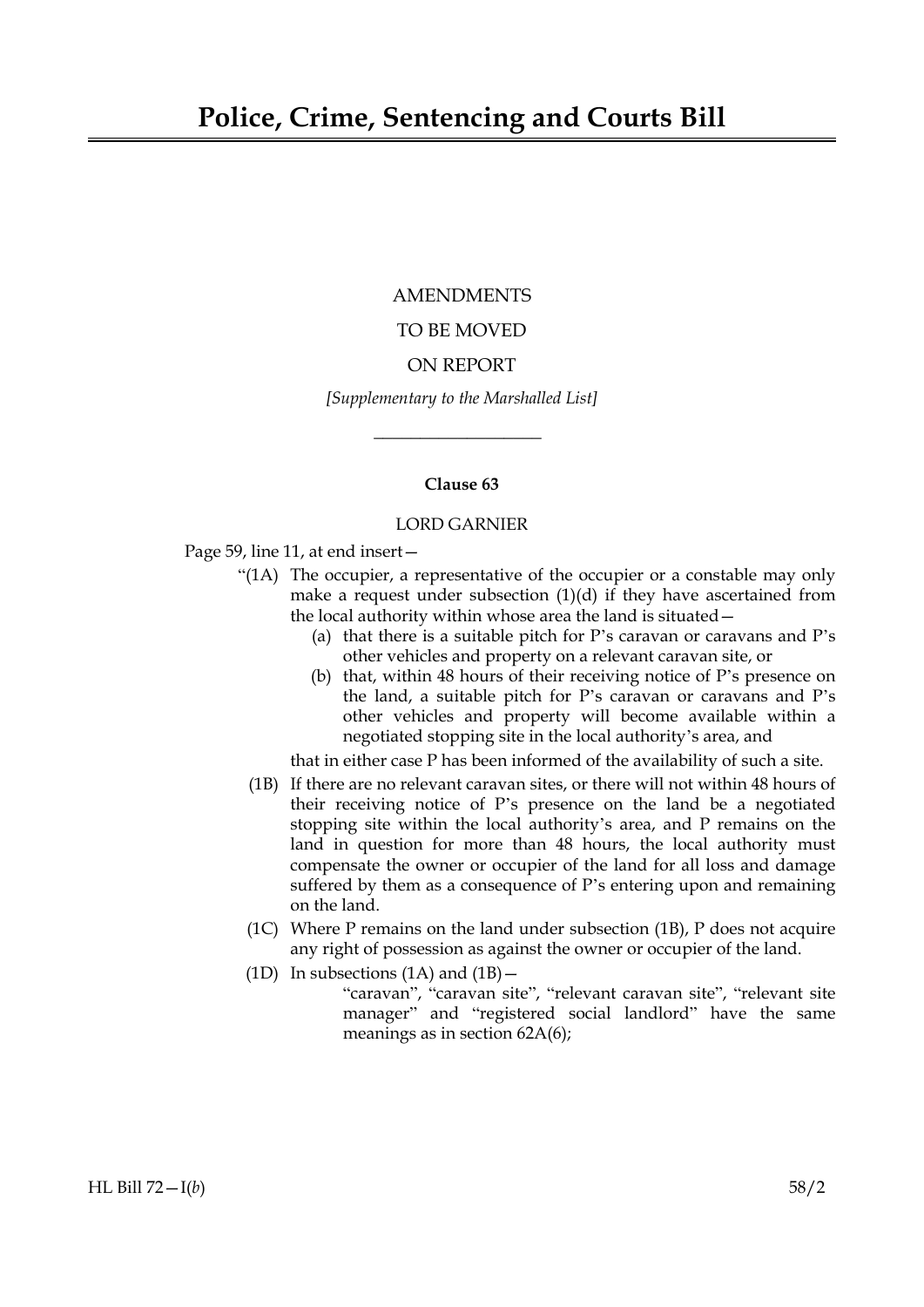## AMENDMENTS

# TO BE MOVED

# ON REPORT

*[Supplementary to the Marshalled List]*

 $\overline{\phantom{a}}$  , where  $\overline{\phantom{a}}$ 

# **Clause 63**

## LORD GARNIER

Page 59, line 11, at end insert—

- "(1A) The occupier, a representative of the occupier or a constable may only make a request under subsection (1)(d) if they have ascertained from the local authority within whose area the land is situated—
	- (a) that there is a suitable pitch for P's caravan or caravans and P's other vehicles and property on a relevant caravan site, or
	- (b) that, within 48 hours of their receiving notice of P's presence on the land, a suitable pitch for P's caravan or caravans and P's other vehicles and property will become available within a negotiated stopping site in the local authority's area, and

that in either case P has been informed of the availability of such a site.

- (1B) If there are no relevant caravan sites, or there will not within 48 hours of their receiving notice of P's presence on the land be a negotiated stopping site within the local authority's area, and P remains on the land in question for more than 48 hours, the local authority must compensate the owner or occupier of the land for all loss and damage suffered by them as a consequence of P's entering upon and remaining on the land.
- (1C) Where P remains on the land under subsection (1B), P does not acquire any right of possession as against the owner or occupier of the land.
- (1D) In subsections  $(1A)$  and  $(1B)$  -
	- "caravan", "caravan site", "relevant caravan site", "relevant site manager" and "registered social landlord" have the same meanings as in section 62A(6);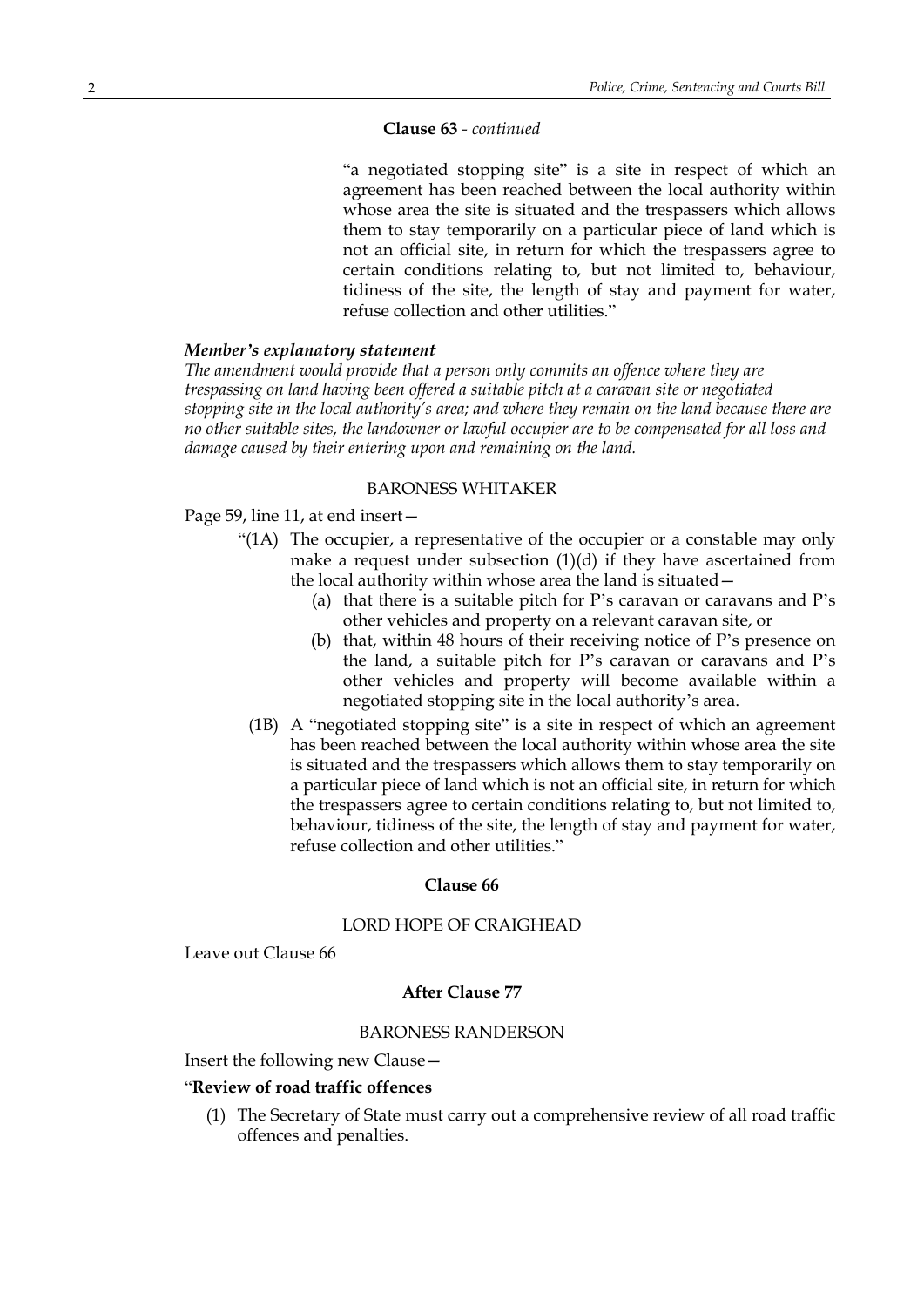#### **Clause 63** *- continued*

"a negotiated stopping site" is a site in respect of which an agreement has been reached between the local authority within whose area the site is situated and the trespassers which allows them to stay temporarily on a particular piece of land which is not an official site, in return for which the trespassers agree to certain conditions relating to, but not limited to, behaviour, tidiness of the site, the length of stay and payment for water, refuse collection and other utilities."

## *Member's explanatory statement*

*The amendment would provide that a person only commits an offence where they are trespassing on land having been offered a suitable pitch at a caravan site or negotiated stopping site in the local authority's area; and where they remain on the land because there are no other suitable sites, the landowner or lawful occupier are to be compensated for all loss and damage caused by their entering upon and remaining on the land.*

## BARONESS WHITAKER

Page 59, line 11, at end insert—

- "(1A) The occupier, a representative of the occupier or a constable may only make a request under subsection (1)(d) if they have ascertained from the local authority within whose area the land is situated—
	- (a) that there is a suitable pitch for P's caravan or caravans and P's other vehicles and property on a relevant caravan site, or
	- (b) that, within 48 hours of their receiving notice of P's presence on the land, a suitable pitch for P's caravan or caravans and P's other vehicles and property will become available within a negotiated stopping site in the local authority's area.
	- (1B) A "negotiated stopping site" is a site in respect of which an agreement has been reached between the local authority within whose area the site is situated and the trespassers which allows them to stay temporarily on a particular piece of land which is not an official site, in return for which the trespassers agree to certain conditions relating to, but not limited to, behaviour, tidiness of the site, the length of stay and payment for water, refuse collection and other utilities."

#### **Clause 66**

## LORD HOPE OF CRAIGHEAD

Leave out Clause 66

#### **After Clause 77**

#### BARONESS RANDERSON

Insert the following new Clause—

## "**Review of road traffic offences**

(1) The Secretary of State must carry out a comprehensive review of all road traffic offences and penalties.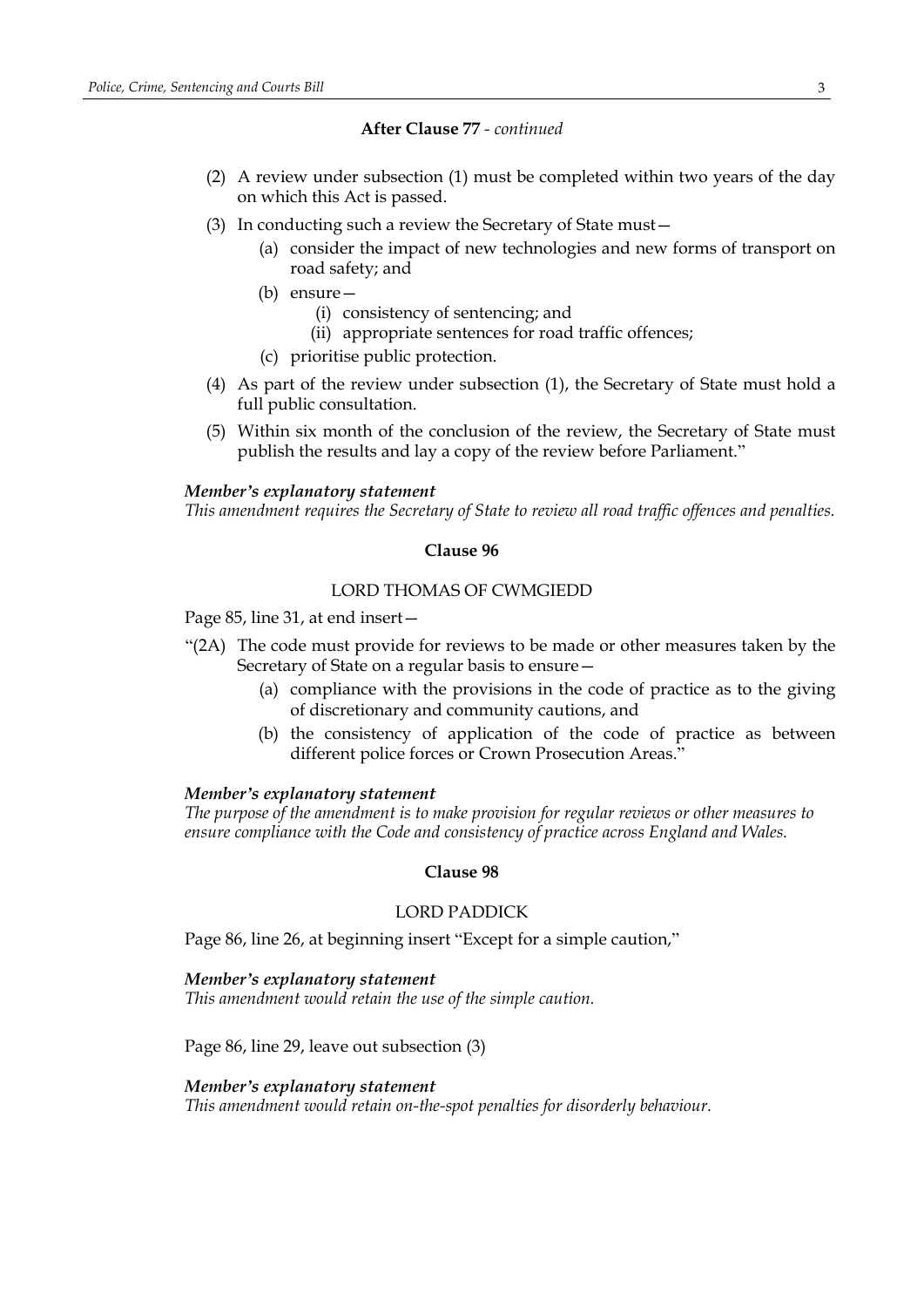#### **After Clause 77** *- continued*

- (2) A review under subsection (1) must be completed within two years of the day on which this Act is passed.
- (3) In conducting such a review the Secretary of State must—
	- (a) consider the impact of new technologies and new forms of transport on road safety; and
	- (b) ensure—
		- (i) consistency of sentencing; and
		- (ii) appropriate sentences for road traffic offences;
	- (c) prioritise public protection.
- (4) As part of the review under subsection (1), the Secretary of State must hold a full public consultation.
- (5) Within six month of the conclusion of the review, the Secretary of State must publish the results and lay a copy of the review before Parliament."

#### *Member's explanatory statement*

*This amendment requires the Secretary of State to review all road traffic offences and penalties.*

## **Clause 96**

#### LORD THOMAS OF CWMGIEDD

Page 85, line 31, at end insert—

- "(2A) The code must provide for reviews to be made or other measures taken by the Secretary of State on a regular basis to ensure—
	- (a) compliance with the provisions in the code of practice as to the giving of discretionary and community cautions, and
	- (b) the consistency of application of the code of practice as between different police forces or Crown Prosecution Areas."

#### *Member's explanatory statement*

*The purpose of the amendment is to make provision for regular reviews or other measures to ensure compliance with the Code and consistency of practice across England and Wales.*

#### **Clause 98**

## LORD PADDICK

Page 86, line 26, at beginning insert "Except for a simple caution,"

#### *Member's explanatory statement*

*This amendment would retain the use of the simple caution.*

Page 86, line 29, leave out subsection (3)

#### *Member's explanatory statement*

*This amendment would retain on-the-spot penalties for disorderly behaviour.*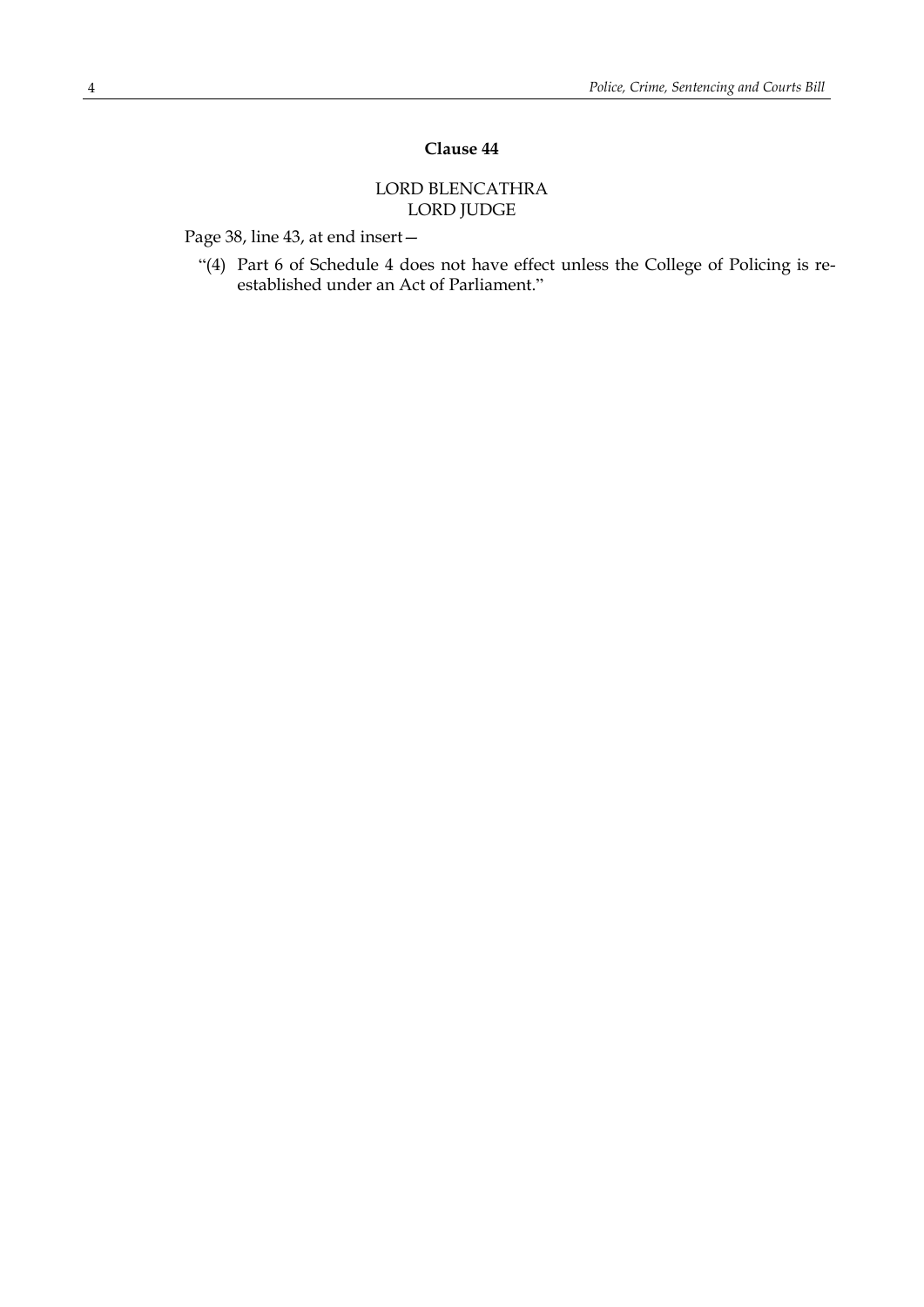# **Clause 44**

# LORD BLENCATHRA LORD JUDGE

Page 38, line 43, at end insert—

"(4) Part 6 of Schedule 4 does not have effect unless the College of Policing is reestablished under an Act of Parliament."